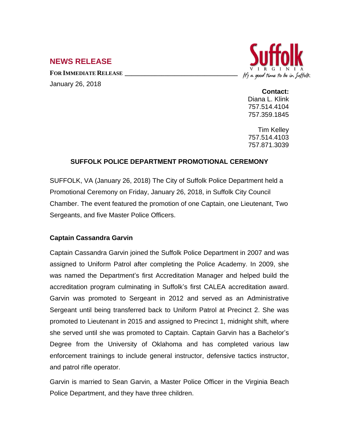# **NEWS RELEASE**

**FOR IMMEDIATE RELEASE \_\_\_\_\_\_\_\_\_\_\_\_\_\_\_\_\_\_\_\_\_\_\_\_\_\_\_\_\_\_\_\_\_\_** January 26, 2018



**Contact:**

Diana L. Klink 757.514.4104 757.359.1845

Tim Kelley 757.514.4103 757.871.3039

# **SUFFOLK POLICE DEPARTMENT PROMOTIONAL CEREMONY**

SUFFOLK, VA (January 26, 2018) The City of Suffolk Police Department held a Promotional Ceremony on Friday, January 26, 2018, in Suffolk City Council Chamber. The event featured the promotion of one Captain, one Lieutenant, Two Sergeants, and five Master Police Officers.

# **Captain Cassandra Garvin**

Captain Cassandra Garvin joined the Suffolk Police Department in 2007 and was assigned to Uniform Patrol after completing the Police Academy. In 2009, she was named the Department's first Accreditation Manager and helped build the accreditation program culminating in Suffolk's first CALEA accreditation award. Garvin was promoted to Sergeant in 2012 and served as an Administrative Sergeant until being transferred back to Uniform Patrol at Precinct 2. She was promoted to Lieutenant in 2015 and assigned to Precinct 1, midnight shift, where she served until she was promoted to Captain. Captain Garvin has a Bachelor's Degree from the University of Oklahoma and has completed various law enforcement trainings to include general instructor, defensive tactics instructor, and patrol rifle operator.

Garvin is married to Sean Garvin, a Master Police Officer in the Virginia Beach Police Department, and they have three children.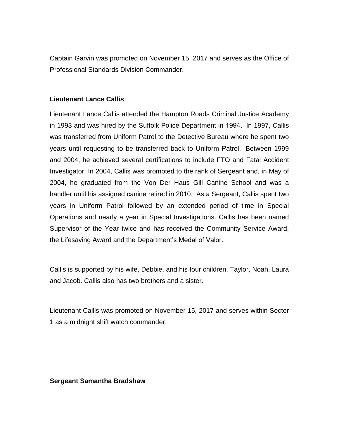Captain Garvin was promoted on November 15, 2017 and serves as the Office of Professional Standards Division Commander.

### **Lieutenant Lance Callis**

Lieutenant Lance Callis attended the Hampton Roads Criminal Justice Academy in 1993 and was hired by the Suffolk Police Department in 1994. In 1997, Callis was transferred from Uniform Patrol to the Detective Bureau where he spent two years until requesting to be transferred back to Uniform Patrol. Between 1999 and 2004, he achieved several certifications to include FTO and Fatal Accident Investigator. In 2004, Callis was promoted to the rank of Sergeant and, in May of 2004, he graduated from the Von Der Haus Gill Canine School and was a handler until his assigned canine retired in 2010. As a Sergeant, Callis spent two years in Uniform Patrol followed by an extended period of time in Special Operations and nearly a year in Special Investigations. Callis has been named Supervisor of the Year twice and has received the Community Service Award, the Lifesaving Award and the Department's Medal of Valor.

Callis is supported by his wife, Debbie, and his four children, Taylor, Noah, Laura and Jacob. Callis also has two brothers and a sister.

Lieutenant Callis was promoted on November 15, 2017 and serves within Sector 1 as a midnight shift watch commander.

**Sergeant Samantha Bradshaw**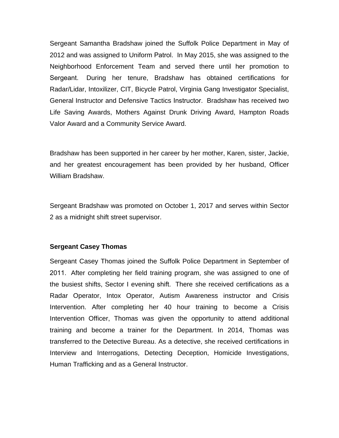Sergeant Samantha Bradshaw joined the Suffolk Police Department in May of 2012 and was assigned to Uniform Patrol. In May 2015, she was assigned to the Neighborhood Enforcement Team and served there until her promotion to Sergeant. During her tenure, Bradshaw has obtained certifications for Radar/Lidar, Intoxilizer, CIT, Bicycle Patrol, Virginia Gang Investigator Specialist, General Instructor and Defensive Tactics Instructor. Bradshaw has received two Life Saving Awards, Mothers Against Drunk Driving Award, Hampton Roads Valor Award and a Community Service Award.

Bradshaw has been supported in her career by her mother, Karen, sister, Jackie, and her greatest encouragement has been provided by her husband, Officer William Bradshaw.

Sergeant Bradshaw was promoted on October 1, 2017 and serves within Sector 2 as a midnight shift street supervisor.

#### **Sergeant Casey Thomas**

Sergeant Casey Thomas joined the Suffolk Police Department in September of 2011. After completing her field training program, she was assigned to one of the busiest shifts, Sector I evening shift. There she received certifications as a Radar Operator, Intox Operator, Autism Awareness instructor and Crisis Intervention. After completing her 40 hour training to become a Crisis Intervention Officer, Thomas was given the opportunity to attend additional training and become a trainer for the Department. In 2014, Thomas was transferred to the Detective Bureau. As a detective, she received certifications in Interview and Interrogations, Detecting Deception, Homicide Investigations, Human Trafficking and as a General Instructor.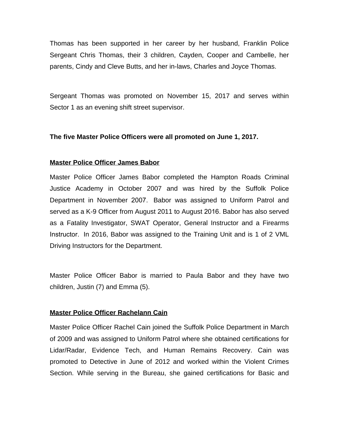Thomas has been supported in her career by her husband, Franklin Police Sergeant Chris Thomas, their 3 children, Cayden, Cooper and Cambelle, her parents, Cindy and Cleve Butts, and her in-laws, Charles and Joyce Thomas.

Sergeant Thomas was promoted on November 15, 2017 and serves within Sector 1 as an evening shift street supervisor.

### **The five Master Police Officers were all promoted on June 1, 2017.**

#### **Master Police Officer James Babor**

Master Police Officer James Babor completed the Hampton Roads Criminal Justice Academy in October 2007 and was hired by the Suffolk Police Department in November 2007. Babor was assigned to Uniform Patrol and served as a K-9 Officer from August 2011 to August 2016. Babor has also served as a Fatality Investigator, SWAT Operator, General Instructor and a Firearms Instructor. In 2016, Babor was assigned to the Training Unit and is 1 of 2 VML Driving Instructors for the Department.

Master Police Officer Babor is married to Paula Babor and they have two children, Justin (7) and Emma (5).

#### **Master Police Officer Rachelann Cain**

Master Police Officer Rachel Cain joined the Suffolk Police Department in March of 2009 and was assigned to Uniform Patrol where she obtained certifications for Lidar/Radar, Evidence Tech, and Human Remains Recovery. Cain was promoted to Detective in June of 2012 and worked within the Violent Crimes Section. While serving in the Bureau, she gained certifications for Basic and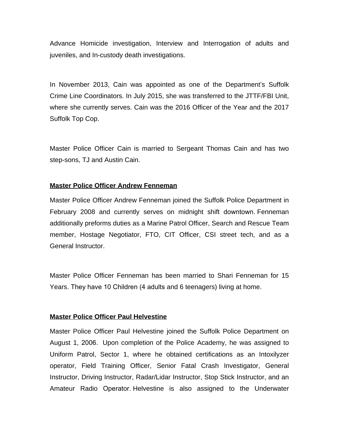Advance Homicide investigation, Interview and Interrogation of adults and juveniles, and In-custody death investigations.

In November 2013, Cain was appointed as one of the Department's Suffolk Crime Line Coordinators. In July 2015, she was transferred to the JTTF/FBI Unit, where she currently serves. Cain was the 2016 Officer of the Year and the 2017 Suffolk Top Cop.

Master Police Officer Cain is married to Sergeant Thomas Cain and has two step-sons, TJ and Austin Cain.

### **Master Police Officer Andrew Fenneman**

Master Police Officer Andrew Fenneman joined the Suffolk Police Department in February 2008 and currently serves on midnight shift downtown. Fenneman additionally preforms duties as a Marine Patrol Officer, Search and Rescue Team member, Hostage Negotiator, FTO, CIT Officer, CSI street tech, and as a General Instructor.

Master Police Officer Fenneman has been married to Shari Fenneman for 15 Years. They have 10 Children (4 adults and 6 teenagers) living at home.

#### **Master Police Officer Paul Helvestine**

Master Police Officer Paul Helvestine joined the Suffolk Police Department on August 1, 2006. Upon completion of the Police Academy, he was assigned to Uniform Patrol, Sector 1, where he obtained certifications as an Intoxilyzer operator, Field Training Officer, Senior Fatal Crash Investigator, General Instructor, Driving Instructor, Radar/Lidar Instructor, Stop Stick Instructor, and an Amateur Radio Operator. Helvestine is also assigned to the Underwater